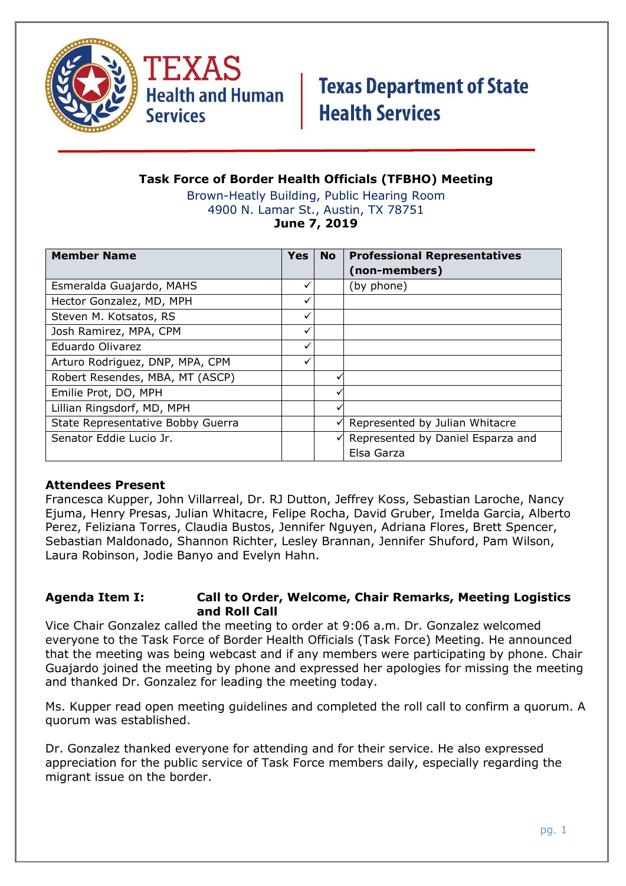



### **Task Force of Border Health Officials (TFBHO) Meeting**

Brown-Heatly Building, Public Hearing Room 4900 N. Lamar St., Austin, TX 78751 **June 7, 2019**

| <b>Member Name</b>                | <b>Yes</b> | <b>No</b> | <b>Professional Representatives</b><br>(non-members) |
|-----------------------------------|------------|-----------|------------------------------------------------------|
| Esmeralda Guajardo, MAHS          |            |           | (by phone)                                           |
| Hector Gonzalez, MD, MPH          | ✓          |           |                                                      |
| Steven M. Kotsatos, RS            | ✓          |           |                                                      |
| Josh Ramirez, MPA, CPM            | ✓          |           |                                                      |
| Eduardo Olivarez                  | ✓          |           |                                                      |
| Arturo Rodriguez, DNP, MPA, CPM   | ✓          |           |                                                      |
| Robert Resendes, MBA, MT (ASCP)   |            |           |                                                      |
| Emilie Prot, DO, MPH              |            |           |                                                      |
| Lillian Ringsdorf, MD, MPH        |            |           |                                                      |
| State Representative Bobby Guerra |            |           | Represented by Julian Whitacre                       |
| Senator Eddie Lucio Jr.           |            |           | Represented by Daniel Esparza and                    |
|                                   |            |           | Elsa Garza                                           |

#### **Attendees Present**

Francesca Kupper, John Villarreal, Dr. RJ Dutton, Jeffrey Koss, Sebastian Laroche, Nancy Ejuma, Henry Presas, Julian Whitacre, Felipe Rocha, David Gruber, Imelda Garcia, Alberto Perez, Feliziana Torres, Claudia Bustos, Jennifer Nguyen, Adriana Flores, Brett Spencer, Sebastian Maldonado, Shannon Richter, Lesley Brannan, Jennifer Shuford, Pam Wilson, Laura Robinson, Jodie Banyo and Evelyn Hahn.

#### **Agenda Item I: Call to Order, Welcome, Chair Remarks, Meeting Logistics and Roll Call**

Vice Chair Gonzalez called the meeting to order at 9:06 a.m. Dr. Gonzalez welcomed everyone to the Task Force of Border Health Officials (Task Force) Meeting. He announced that the meeting was being webcast and if any members were participating by phone. Chair Guajardo joined the meeting by phone and expressed her apologies for missing the meeting and thanked Dr. Gonzalez for leading the meeting today.

Ms. Kupper read open meeting guidelines and completed the roll call to confirm a quorum. A quorum was established.

Dr. Gonzalez thanked everyone for attending and for their service. He also expressed appreciation for the public service of Task Force members daily, especially regarding the migrant issue on the border.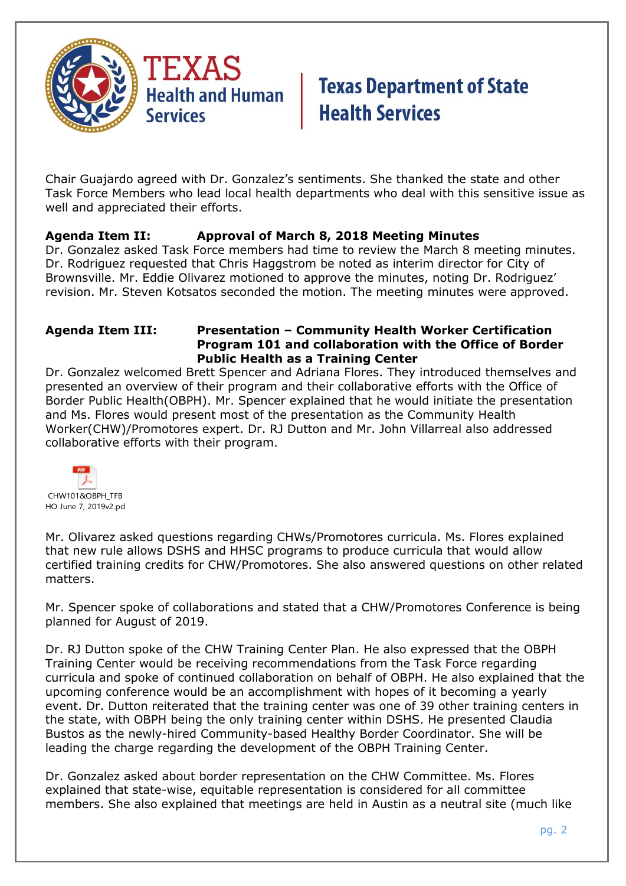

Chair Guajardo agreed with Dr. Gonzalez's sentiments. She thanked the state and other Task Force Members who lead local health departments who deal with this sensitive issue as well and appreciated their efforts.

### **Agenda Item II: Approval of March 8, 2018 Meeting Minutes**

Dr. Gonzalez asked Task Force members had time to review the March 8 meeting minutes. Dr. Rodriguez requested that Chris Haggstrom be noted as interim director for City of Brownsville. Mr. Eddie Olivarez motioned to approve the minutes, noting Dr. Rodriguez' revision. Mr. Steven Kotsatos seconded the motion. The meeting minutes were approved.

#### **Agenda Item III: Presentation – Community Health Worker Certification Program 101 and collaboration with the Office of Border Public Health as a Training Center**

Dr. Gonzalez welcomed Brett Spencer and Adriana Flores. They introduced themselves and presented an overview of their program and their collaborative efforts with the Office of Border Public Health(OBPH). Mr. Spencer explained that he would initiate the presentation and Ms. Flores would present most of the presentation as the Community Health Worker(CHW)/Promotores expert. Dr. RJ Dutton and Mr. John Villarreal also addressed collaborative efforts with their program.



Mr. Olivarez asked questions regarding CHWs/Promotores curricula. Ms. Flores explained that new rule allows DSHS and HHSC programs to produce curricula that would allow certified training credits for CHW/Promotores. She also answered questions on other related matters.

Mr. Spencer spoke of collaborations and stated that a CHW/Promotores Conference is being planned for August of 2019.

Dr. RJ Dutton spoke of the CHW Training Center Plan. He also expressed that the OBPH Training Center would be receiving recommendations from the Task Force regarding curricula and spoke of continued collaboration on behalf of OBPH. He also explained that the upcoming conference would be an accomplishment with hopes of it becoming a yearly event. Dr. Dutton reiterated that the training center was one of 39 other training centers in the state, with OBPH being the only training center within DSHS. He presented Claudia Bustos as the newly-hired Community-based Healthy Border Coordinator. She will be leading the charge regarding the development of the OBPH Training Center.

Dr. Gonzalez asked about border representation on the CHW Committee. Ms. Flores explained that state-wise, equitable representation is considered for all committee members. She also explained that meetings are held in Austin as a neutral site (much like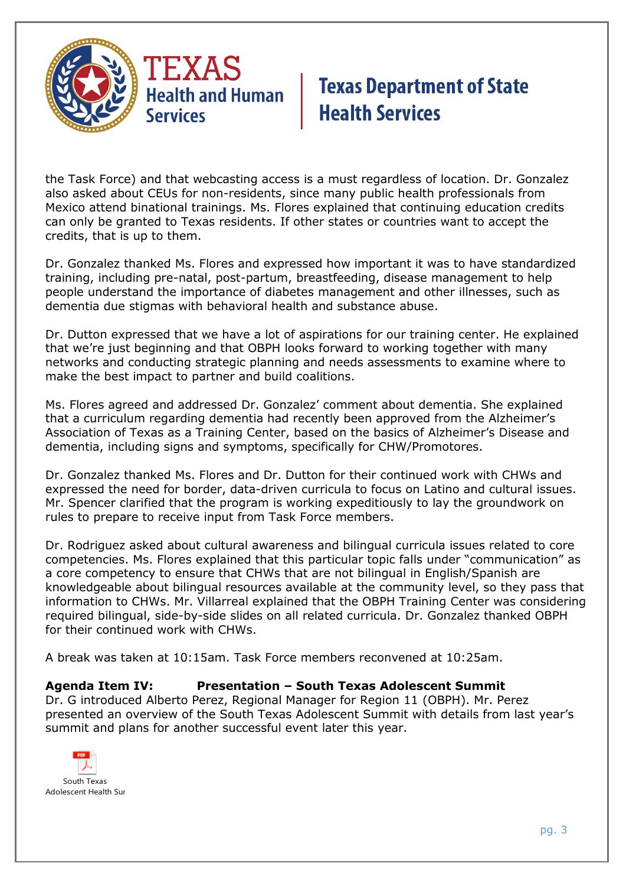

the Task Force) and that webcasting access is a must regardless of location. Dr. Gonzalez also asked about CEUs for non-residents, since many public health professionals from Mexico attend binational trainings. Ms. Flores explained that continuing education credits can only be granted to Texas residents. If other states or countries want to accept the credits, that is up to them.

Dr. Gonzalez thanked Ms. Flores and expressed how important it was to have standardized training, including pre-natal, post-partum, breastfeeding, disease management to help people understand the importance of diabetes management and other illnesses, such as dementia due stigmas with behavioral health and substance abuse.

Dr. Dutton expressed that we have a lot of aspirations for our training center. He explained that we're just beginning and that OBPH looks forward to working together with many networks and conducting strategic planning and needs assessments to examine where to make the best impact to partner and build coalitions.

Ms. Flores agreed and addressed Dr. Gonzalez' comment about dementia. She explained that a curriculum regarding dementia had recently been approved from the Alzheimer's Association of Texas as a Training Center, based on the basics of Alzheimer's Disease and dementia, including signs and symptoms, specifically for CHW/Promotores.

Dr. Gonzalez thanked Ms. Flores and Dr. Dutton for their continued work with CHWs and expressed the need for border, data-driven curricula to focus on Latino and cultural issues. Mr. Spencer clarified that the program is working expeditiously to lay the groundwork on rules to prepare to receive input from Task Force members.

Dr. Rodriguez asked about cultural awareness and bilingual curricula issues related to core competencies. Ms. Flores explained that this particular topic falls under "communication" as a core competency to ensure that CHWs that are not bilingual in English/Spanish are knowledgeable about bilingual resources available at the community level, so they pass that information to CHWs. Mr. Villarreal explained that the OBPH Training Center was considering required bilingual, side-by-side slides on all related curricula. Dr. Gonzalez thanked OBPH for their continued work with CHWs.

A break was taken at 10:15am. Task Force members reconvened at 10:25am.

### **Agenda Item IV: Presentation – South Texas Adolescent Summit**

Dr. G introduced Alberto Perez, Regional Manager for Region 11 (OBPH). Mr. Perez presented an overview of the South Texas Adolescent Summit with details from last year's summit and plans for another successful event later this year.

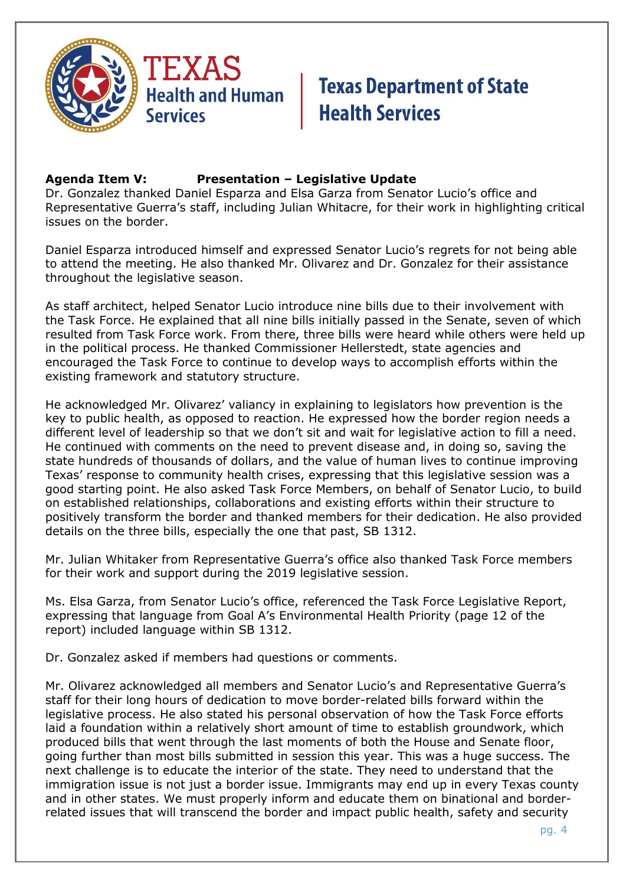

### **Agenda Item V: Presentation – Legislative Update**

Dr. Gonzalez thanked Daniel Esparza and Elsa Garza from Senator Lucio's office and Representative Guerra's staff, including Julian Whitacre, for their work in highlighting critical issues on the border.

Daniel Esparza introduced himself and expressed Senator Lucio's regrets for not being able to attend the meeting. He also thanked Mr. Olivarez and Dr. Gonzalez for their assistance throughout the legislative season.

As staff architect, helped Senator Lucio introduce nine bills due to their involvement with the Task Force. He explained that all nine bills initially passed in the Senate, seven of which resulted from Task Force work. From there, three bills were heard while others were held up in the political process. He thanked Commissioner Hellerstedt, state agencies and encouraged the Task Force to continue to develop ways to accomplish efforts within the existing framework and statutory structure.

He acknowledged Mr. Olivarez' valiancy in explaining to legislators how prevention is the key to public health, as opposed to reaction. He expressed how the border region needs a different level of leadership so that we don't sit and wait for legislative action to fill a need. He continued with comments on the need to prevent disease and, in doing so, saving the state hundreds of thousands of dollars, and the value of human lives to continue improving Texas' response to community health crises, expressing that this legislative session was a good starting point. He also asked Task Force Members, on behalf of Senator Lucio, to build on established relationships, collaborations and existing efforts within their structure to positively transform the border and thanked members for their dedication. He also provided details on the three bills, especially the one that past, SB 1312.

Mr. Julian Whitaker from Representative Guerra's office also thanked Task Force members for their work and support during the 2019 legislative session.

Ms. Elsa Garza, from Senator Lucio's office, referenced the Task Force Legislative Report, expressing that language from Goal A's Environmental Health Priority (page 12 of the report) included language within SB 1312.

Dr. Gonzalez asked if members had questions or comments.

Mr. Olivarez acknowledged all members and Senator Lucio's and Representative Guerra's staff for their long hours of dedication to move border-related bills forward within the legislative process. He also stated his personal observation of how the Task Force efforts laid a foundation within a relatively short amount of time to establish groundwork, which produced bills that went through the last moments of both the House and Senate floor, going further than most bills submitted in session this year. This was a huge success. The next challenge is to educate the interior of the state. They need to understand that the immigration issue is not just a border issue. Immigrants may end up in every Texas county and in other states. We must properly inform and educate them on binational and borderrelated issues that will transcend the border and impact public health, safety and security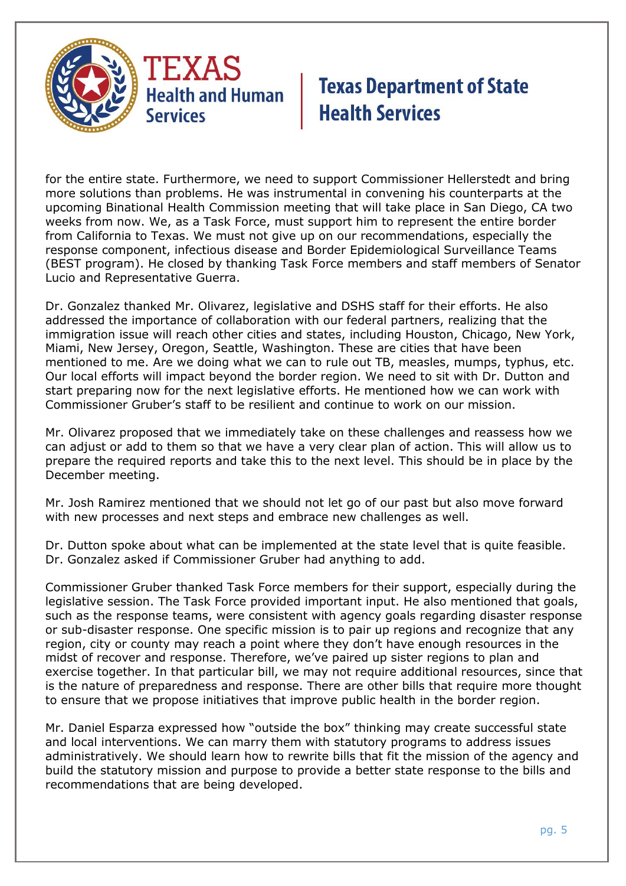

for the entire state. Furthermore, we need to support Commissioner Hellerstedt and bring more solutions than problems. He was instrumental in convening his counterparts at the upcoming Binational Health Commission meeting that will take place in San Diego, CA two weeks from now. We, as a Task Force, must support him to represent the entire border from California to Texas. We must not give up on our recommendations, especially the response component, infectious disease and Border Epidemiological Surveillance Teams (BEST program). He closed by thanking Task Force members and staff members of Senator Lucio and Representative Guerra.

Dr. Gonzalez thanked Mr. Olivarez, legislative and DSHS staff for their efforts. He also addressed the importance of collaboration with our federal partners, realizing that the immigration issue will reach other cities and states, including Houston, Chicago, New York, Miami, New Jersey, Oregon, Seattle, Washington. These are cities that have been mentioned to me. Are we doing what we can to rule out TB, measles, mumps, typhus, etc. Our local efforts will impact beyond the border region. We need to sit with Dr. Dutton and start preparing now for the next legislative efforts. He mentioned how we can work with Commissioner Gruber's staff to be resilient and continue to work on our mission.

Mr. Olivarez proposed that we immediately take on these challenges and reassess how we can adjust or add to them so that we have a very clear plan of action. This will allow us to prepare the required reports and take this to the next level. This should be in place by the December meeting.

Mr. Josh Ramirez mentioned that we should not let go of our past but also move forward with new processes and next steps and embrace new challenges as well.

Dr. Dutton spoke about what can be implemented at the state level that is quite feasible. Dr. Gonzalez asked if Commissioner Gruber had anything to add.

Commissioner Gruber thanked Task Force members for their support, especially during the legislative session. The Task Force provided important input. He also mentioned that goals, such as the response teams, were consistent with agency goals regarding disaster response or sub-disaster response. One specific mission is to pair up regions and recognize that any region, city or county may reach a point where they don't have enough resources in the midst of recover and response. Therefore, we've paired up sister regions to plan and exercise together. In that particular bill, we may not require additional resources, since that is the nature of preparedness and response. There are other bills that require more thought to ensure that we propose initiatives that improve public health in the border region.

Mr. Daniel Esparza expressed how "outside the box" thinking may create successful state and local interventions. We can marry them with statutory programs to address issues administratively. We should learn how to rewrite bills that fit the mission of the agency and build the statutory mission and purpose to provide a better state response to the bills and recommendations that are being developed.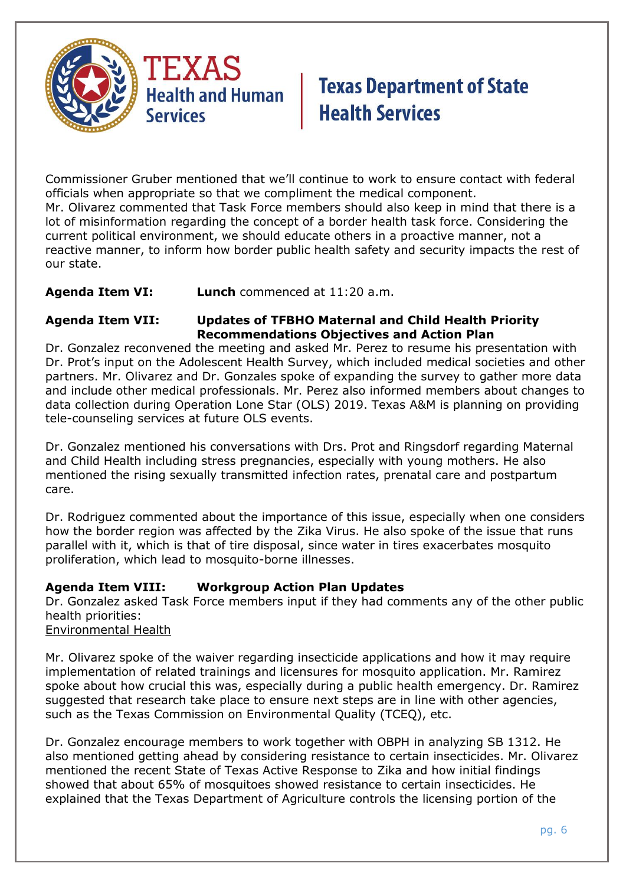

Commissioner Gruber mentioned that we'll continue to work to ensure contact with federal officials when appropriate so that we compliment the medical component. Mr. Olivarez commented that Task Force members should also keep in mind that there is a lot of misinformation regarding the concept of a border health task force. Considering the current political environment, we should educate others in a proactive manner, not a reactive manner, to inform how border public health safety and security impacts the rest of our state.

**Agenda Item VI: Lunch** commenced at 11:20 a.m.

### **Agenda Item VII: Updates of TFBHO Maternal and Child Health Priority Recommendations Objectives and Action Plan**

Dr. Gonzalez reconvened the meeting and asked Mr. Perez to resume his presentation with Dr. Prot's input on the Adolescent Health Survey, which included medical societies and other partners. Mr. Olivarez and Dr. Gonzales spoke of expanding the survey to gather more data and include other medical professionals. Mr. Perez also informed members about changes to data collection during Operation Lone Star (OLS) 2019. Texas A&M is planning on providing tele-counseling services at future OLS events.

Dr. Gonzalez mentioned his conversations with Drs. Prot and Ringsdorf regarding Maternal and Child Health including stress pregnancies, especially with young mothers. He also mentioned the rising sexually transmitted infection rates, prenatal care and postpartum care.

Dr. Rodriguez commented about the importance of this issue, especially when one considers how the border region was affected by the Zika Virus. He also spoke of the issue that runs parallel with it, which is that of tire disposal, since water in tires exacerbates mosquito proliferation, which lead to mosquito-borne illnesses.

### **Agenda Item VIII: Workgroup Action Plan Updates**

Dr. Gonzalez asked Task Force members input if they had comments any of the other public health priorities:

Environmental Health

Mr. Olivarez spoke of the waiver regarding insecticide applications and how it may require implementation of related trainings and licensures for mosquito application. Mr. Ramirez spoke about how crucial this was, especially during a public health emergency. Dr. Ramirez suggested that research take place to ensure next steps are in line with other agencies, such as the Texas Commission on Environmental Quality (TCEQ), etc.

Dr. Gonzalez encourage members to work together with OBPH in analyzing SB 1312. He also mentioned getting ahead by considering resistance to certain insecticides. Mr. Olivarez mentioned the recent State of Texas Active Response to Zika and how initial findings showed that about 65% of mosquitoes showed resistance to certain insecticides. He explained that the Texas Department of Agriculture controls the licensing portion of the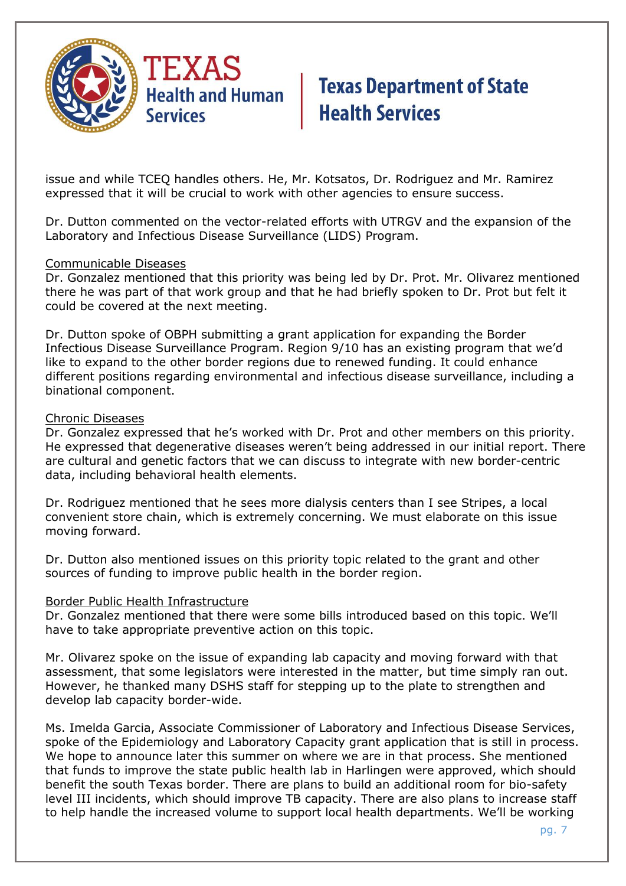

issue and while TCEQ handles others. He, Mr. Kotsatos, Dr. Rodriguez and Mr. Ramirez expressed that it will be crucial to work with other agencies to ensure success.

Dr. Dutton commented on the vector-related efforts with UTRGV and the expansion of the Laboratory and Infectious Disease Surveillance (LIDS) Program.

#### Communicable Diseases

Dr. Gonzalez mentioned that this priority was being led by Dr. Prot. Mr. Olivarez mentioned there he was part of that work group and that he had briefly spoken to Dr. Prot but felt it could be covered at the next meeting.

Dr. Dutton spoke of OBPH submitting a grant application for expanding the Border Infectious Disease Surveillance Program. Region 9/10 has an existing program that we'd like to expand to the other border regions due to renewed funding. It could enhance different positions regarding environmental and infectious disease surveillance, including a binational component.

#### Chronic Diseases

Dr. Gonzalez expressed that he's worked with Dr. Prot and other members on this priority. He expressed that degenerative diseases weren't being addressed in our initial report. There are cultural and genetic factors that we can discuss to integrate with new border-centric data, including behavioral health elements.

Dr. Rodriguez mentioned that he sees more dialysis centers than I see Stripes, a local convenient store chain, which is extremely concerning. We must elaborate on this issue moving forward.

Dr. Dutton also mentioned issues on this priority topic related to the grant and other sources of funding to improve public health in the border region.

#### Border Public Health Infrastructure

Dr. Gonzalez mentioned that there were some bills introduced based on this topic. We'll have to take appropriate preventive action on this topic.

Mr. Olivarez spoke on the issue of expanding lab capacity and moving forward with that assessment, that some legislators were interested in the matter, but time simply ran out. However, he thanked many DSHS staff for stepping up to the plate to strengthen and develop lab capacity border-wide.

Ms. Imelda Garcia, Associate Commissioner of Laboratory and Infectious Disease Services, spoke of the Epidemiology and Laboratory Capacity grant application that is still in process. We hope to announce later this summer on where we are in that process. She mentioned that funds to improve the state public health lab in Harlingen were approved, which should benefit the south Texas border. There are plans to build an additional room for bio-safety level III incidents, which should improve TB capacity. There are also plans to increase staff to help handle the increased volume to support local health departments. We'll be working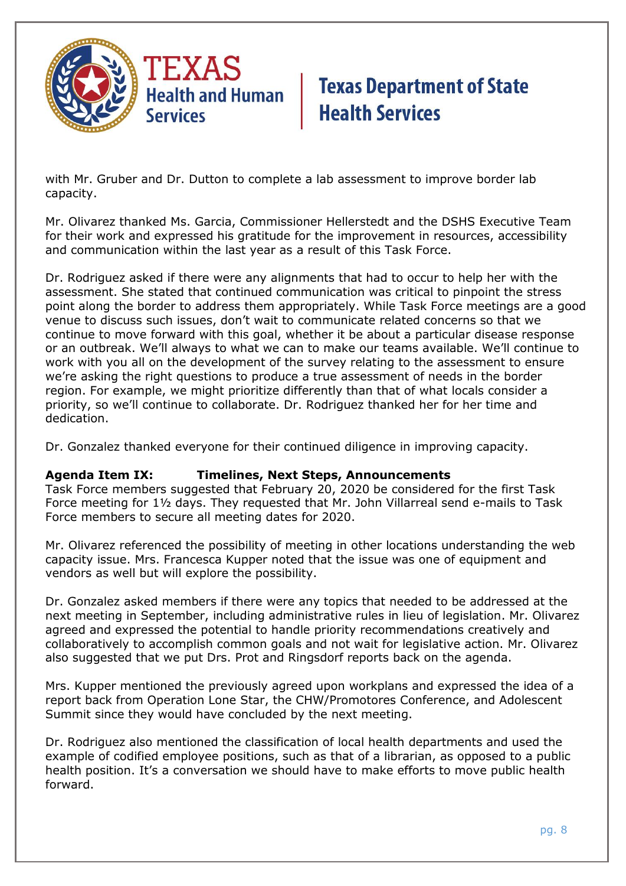

with Mr. Gruber and Dr. Dutton to complete a lab assessment to improve border lab capacity.

Mr. Olivarez thanked Ms. Garcia, Commissioner Hellerstedt and the DSHS Executive Team for their work and expressed his gratitude for the improvement in resources, accessibility and communication within the last year as a result of this Task Force.

Dr. Rodriguez asked if there were any alignments that had to occur to help her with the assessment. She stated that continued communication was critical to pinpoint the stress point along the border to address them appropriately. While Task Force meetings are a good venue to discuss such issues, don't wait to communicate related concerns so that we continue to move forward with this goal, whether it be about a particular disease response or an outbreak. We'll always to what we can to make our teams available. We'll continue to work with you all on the development of the survey relating to the assessment to ensure we're asking the right questions to produce a true assessment of needs in the border region. For example, we might prioritize differently than that of what locals consider a priority, so we'll continue to collaborate. Dr. Rodriguez thanked her for her time and dedication.

Dr. Gonzalez thanked everyone for their continued diligence in improving capacity.

#### **Agenda Item IX: Timelines, Next Steps, Announcements**

Task Force members suggested that February 20, 2020 be considered for the first Task Force meeting for 1½ days. They requested that Mr. John Villarreal send e-mails to Task Force members to secure all meeting dates for 2020.

Mr. Olivarez referenced the possibility of meeting in other locations understanding the web capacity issue. Mrs. Francesca Kupper noted that the issue was one of equipment and vendors as well but will explore the possibility.

Dr. Gonzalez asked members if there were any topics that needed to be addressed at the next meeting in September, including administrative rules in lieu of legislation. Mr. Olivarez agreed and expressed the potential to handle priority recommendations creatively and collaboratively to accomplish common goals and not wait for legislative action. Mr. Olivarez also suggested that we put Drs. Prot and Ringsdorf reports back on the agenda.

Mrs. Kupper mentioned the previously agreed upon workplans and expressed the idea of a report back from Operation Lone Star, the CHW/Promotores Conference, and Adolescent Summit since they would have concluded by the next meeting.

Dr. Rodriguez also mentioned the classification of local health departments and used the example of codified employee positions, such as that of a librarian, as opposed to a public health position. It's a conversation we should have to make efforts to move public health forward.